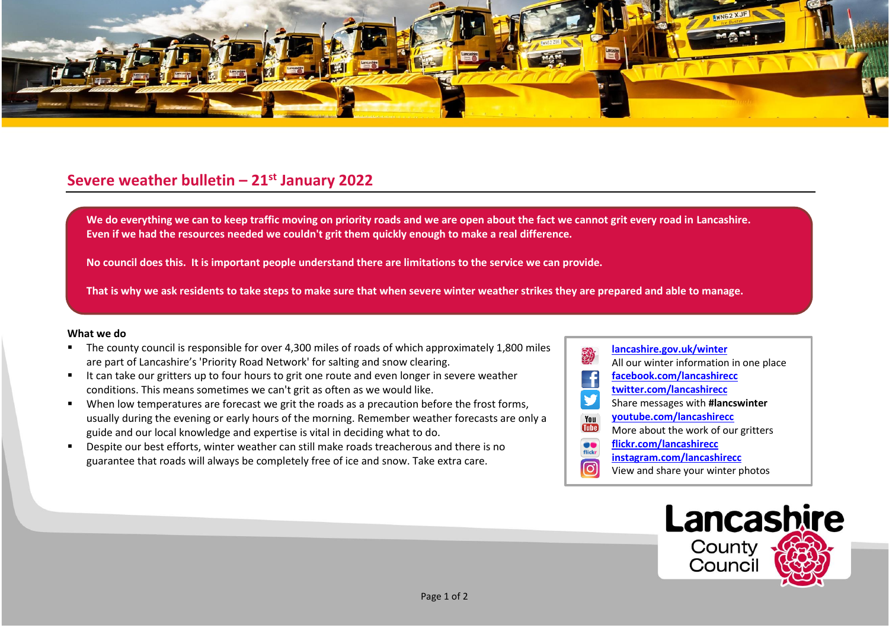

## **Severe weather bulletin – 21st January 2022**

We do everything we can to keep traffic moving on priority roads and we are open about the fact we cannot grit every road in Lancashire. **Even if we had the resources needed we couldn't grit them quickly enough to make a real difference.**

**No council does this. It is important people understand there are limitations to the service we can provide.**

**That is why we ask residents to take steps to make sure that when severe winter weather strikes they are prepared and able to manage.**

## **What we do**

- The county council is responsible for over 4,300 miles of roads of which approximately 1,800 miles are part of Lancashire's 'Priority Road Network' for salting and snow clearing.
- It can take our gritters up to four hours to grit one route and even longer in severe weather conditions. This means sometimes we can't grit as often as we would like.
- When low temperatures are forecast we grit the roads as a precaution before the frost forms, usually during the evening or early hours of the morning. Remember weather forecasts are only a guide and our local knowledge and expertise is vital in deciding what to do.
- Despite our best efforts, winter weather can still make roads treacherous and there is no guarantee that roads will always be completely free of ice and snow. Take extra care.
- **[lancashire.gov.uk/winter](http://www.lancashire.gov.uk/winter)** All our winter information in one place **[facebook.com/lancashirecc](http://www.facebook.com/lancashirecc) [twitter.com/lancashirecc](http://www.twitter.com/lancashirecc)** y Share messages with **#lancswinter [youtube.com/lancashirecc](http://www.youtube.com/lancashirecc)** You **Tilte** More about the work of our gritters  $\bullet$ **[flickr.com/lancashirecc](http://www.flickr.com/lancashirecc)** flickr **[instagram.com/lancashirecc](http://www.instagram.com/lancashirecc)** ြင View and share your winter photos